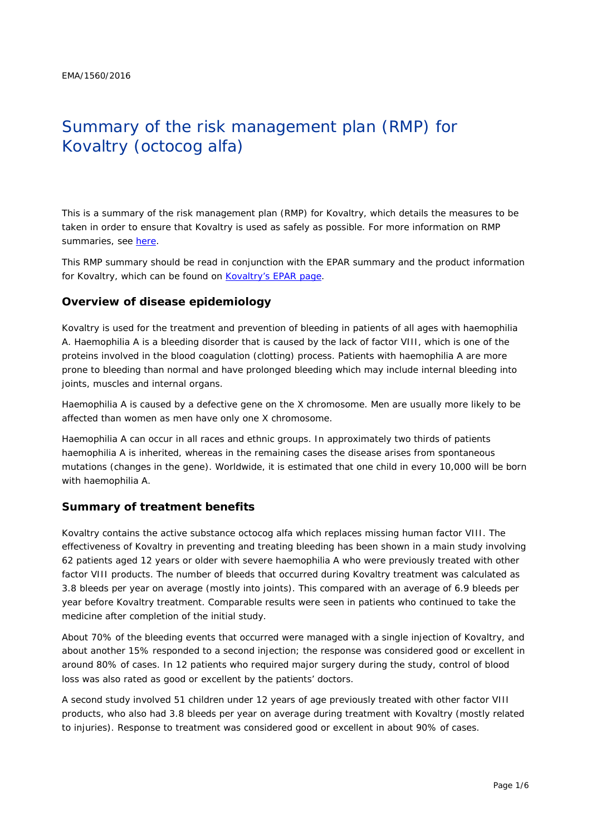# Summary of the risk management plan (RMP) for Kovaltry (octocog alfa)

This is a summary of the risk management plan (RMP) for Kovaltry, which details the measures to be taken in order to ensure that Kovaltry is used as safely as possible. For more information on RMP summaries, see [here.](http://www.ema.europa.eu/docs/en_GB/document_library/Other/2014/05/WC500166101.pdf)

This RMP summary should be read in conjunction with the EPAR summary and the product information for Kovaltry, which can be found on [Kovaltry's EPAR page.](http://www.ema.europa.eu/ema/index.jsp?curl=/pages/medicines/human/medicines/003825/human_med_001959.jsp)

## **Overview of disease epidemiology**

Kovaltry is used for the treatment and prevention of bleeding in patients of all ages with haemophilia A. Haemophilia A is a bleeding disorder that is caused by the lack of factor VIII, which is one of the proteins involved in the blood coagulation (clotting) process. Patients with haemophilia A are more prone to bleeding than normal and have prolonged bleeding which may include internal bleeding into joints, muscles and internal organs.

Haemophilia A is caused by a defective gene on the X chromosome. Men are usually more likely to be affected than women as men have only one X chromosome.

Haemophilia A can occur in all races and ethnic groups. In approximately two thirds of patients haemophilia A is inherited, whereas in the remaining cases the disease arises from spontaneous mutations (changes in the gene). Worldwide, it is estimated that one child in every 10,000 will be born with haemophilia A.

## **Summary of treatment benefits**

Kovaltry contains the active substance octocog alfa which replaces missing human factor VIII. The effectiveness of Kovaltry in preventing and treating bleeding has been shown in a main study involving 62 patients aged 12 years or older with severe haemophilia A who were previously treated with other factor VIII products. The number of bleeds that occurred during Kovaltry treatment was calculated as 3.8 bleeds per year on average (mostly into joints). This compared with an average of 6.9 bleeds per year before Kovaltry treatment. Comparable results were seen in patients who continued to take the medicine after completion of the initial study.

About 70% of the bleeding events that occurred were managed with a single injection of Kovaltry, and about another 15% responded to a second injection; the response was considered good or excellent in around 80% of cases. In 12 patients who required major surgery during the study, control of blood loss was also rated as good or excellent by the patients' doctors.

A second study involved 51 children under 12 years of age previously treated with other factor VIII products, who also had 3.8 bleeds per year on average during treatment with Kovaltry (mostly related to injuries). Response to treatment was considered good or excellent in about 90% of cases.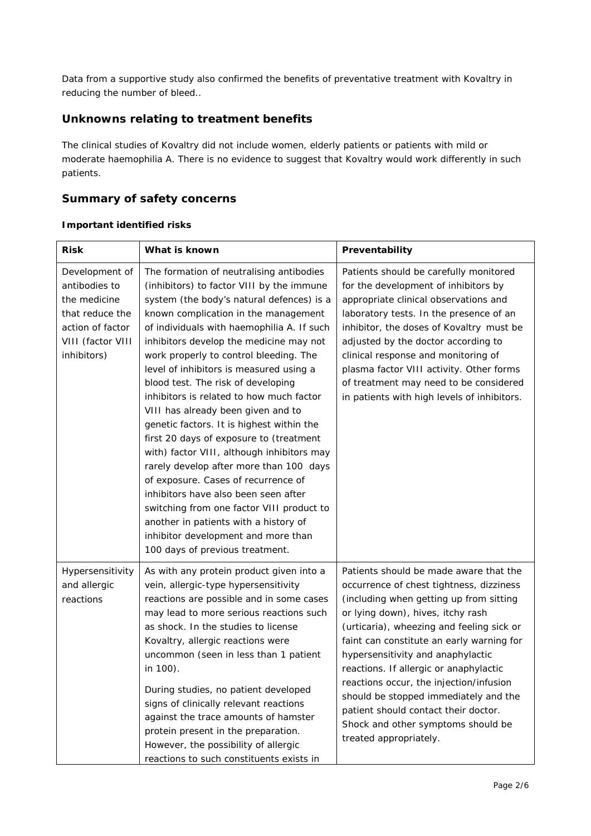Data from a supportive study also confirmed the benefits of preventative treatment with Kovaltry in reducing the number of bleed..

# **Unknowns relating to treatment benefits**

The clinical studies of Kovaltry did not include women, elderly patients or patients with mild or moderate haemophilia A. There is no evidence to suggest that Kovaltry would work differently in such patients.

# **Summary of safety concerns**

## *Important identified risks*

| <b>Risk</b>                                                                                                                | What is known                                                                                                                                                                                                                                                                                                                                                                                                                                                                                                                                                                                                                                                                                                                                                                                                                                                                                                    | Preventability                                                                                                                                                                                                                                                                                                                                                                                                                                                                                                                          |  |  |
|----------------------------------------------------------------------------------------------------------------------------|------------------------------------------------------------------------------------------------------------------------------------------------------------------------------------------------------------------------------------------------------------------------------------------------------------------------------------------------------------------------------------------------------------------------------------------------------------------------------------------------------------------------------------------------------------------------------------------------------------------------------------------------------------------------------------------------------------------------------------------------------------------------------------------------------------------------------------------------------------------------------------------------------------------|-----------------------------------------------------------------------------------------------------------------------------------------------------------------------------------------------------------------------------------------------------------------------------------------------------------------------------------------------------------------------------------------------------------------------------------------------------------------------------------------------------------------------------------------|--|--|
| Development of<br>antibodies to<br>the medicine<br>that reduce the<br>action of factor<br>VIII (factor VIII<br>inhibitors) | The formation of neutralising antibodies<br>(inhibitors) to factor VIII by the immune<br>system (the body's natural defences) is a<br>known complication in the management<br>of individuals with haemophilia A. If such<br>inhibitors develop the medicine may not<br>work properly to control bleeding. The<br>level of inhibitors is measured using a<br>blood test. The risk of developing<br>inhibitors is related to how much factor<br>VIII has already been given and to<br>genetic factors. It is highest within the<br>first 20 days of exposure to (treatment<br>with) factor VIII, although inhibitors may<br>rarely develop after more than 100 days<br>of exposure. Cases of recurrence of<br>inhibitors have also been seen after<br>switching from one factor VIII product to<br>another in patients with a history of<br>inhibitor development and more than<br>100 days of previous treatment. | Patients should be carefully monitored<br>for the development of inhibitors by<br>appropriate clinical observations and<br>laboratory tests. In the presence of an<br>inhibitor, the doses of Kovaltry must be<br>adjusted by the doctor according to<br>clinical response and monitoring of<br>plasma factor VIII activity. Other forms<br>of treatment may need to be considered<br>in patients with high levels of inhibitors.                                                                                                       |  |  |
| Hypersensitivity<br>and allergic<br>reactions                                                                              | As with any protein product given into a<br>vein, allergic-type hypersensitivity<br>reactions are possible and in some cases<br>may lead to more serious reactions such<br>as shock. In the studies to license<br>Kovaltry, allergic reactions were<br>uncommon (seen in less than 1 patient<br>in 100).<br>During studies, no patient developed<br>signs of clinically relevant reactions<br>against the trace amounts of hamster<br>protein present in the preparation.<br>However, the possibility of allergic<br>reactions to such constituents exists in                                                                                                                                                                                                                                                                                                                                                    | Patients should be made aware that the<br>occurrence of chest tightness, dizziness<br>(including when getting up from sitting<br>or lying down), hives, itchy rash<br>(urticaria), wheezing and feeling sick or<br>faint can constitute an early warning for<br>hypersensitivity and anaphylactic<br>reactions. If allergic or anaphylactic<br>reactions occur, the injection/infusion<br>should be stopped immediately and the<br>patient should contact their doctor.<br>Shock and other symptoms should be<br>treated appropriately. |  |  |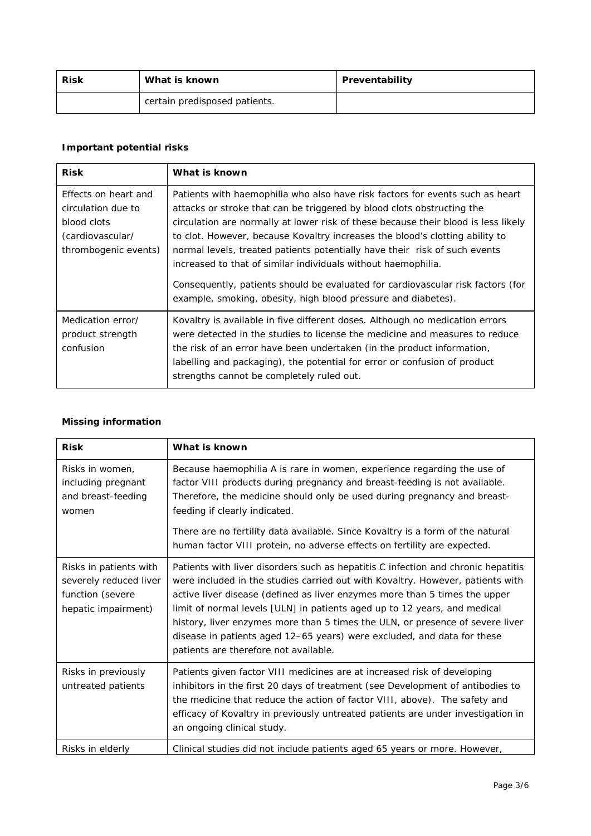| <b>Risk</b> | What is known                 | Preventability |
|-------------|-------------------------------|----------------|
|             | certain predisposed patients. |                |

# *Important potential risks*

| <b>Risk</b>                                                                                           | What is known                                                                                                                                                                                                                                                                                                                                                                                                                                                                                                                                                   |
|-------------------------------------------------------------------------------------------------------|-----------------------------------------------------------------------------------------------------------------------------------------------------------------------------------------------------------------------------------------------------------------------------------------------------------------------------------------------------------------------------------------------------------------------------------------------------------------------------------------------------------------------------------------------------------------|
| Effects on heart and<br>circulation due to<br>blood clots<br>(cardiovascular/<br>thrombogenic events) | Patients with haemophilia who also have risk factors for events such as heart<br>attacks or stroke that can be triggered by blood clots obstructing the<br>circulation are normally at lower risk of these because their blood is less likely<br>to clot. However, because Kovaltry increases the blood's clotting ability to<br>normal levels, treated patients potentially have their risk of such events<br>increased to that of similar individuals without haemophilia.<br>Consequently, patients should be evaluated for cardiovascular risk factors (for |
|                                                                                                       | example, smoking, obesity, high blood pressure and diabetes).                                                                                                                                                                                                                                                                                                                                                                                                                                                                                                   |
| Medication error/<br>product strength<br>confusion                                                    | Kovaltry is available in five different doses. Although no medication errors<br>were detected in the studies to license the medicine and measures to reduce<br>the risk of an error have been undertaken (in the product information,<br>labelling and packaging), the potential for error or confusion of product<br>strengths cannot be completely ruled out.                                                                                                                                                                                                 |

## *Missing information*

| <b>Risk</b>                                                                                 | What is known                                                                                                                                                                                                                                                                                                                                                                                                                                                                                                                       |
|---------------------------------------------------------------------------------------------|-------------------------------------------------------------------------------------------------------------------------------------------------------------------------------------------------------------------------------------------------------------------------------------------------------------------------------------------------------------------------------------------------------------------------------------------------------------------------------------------------------------------------------------|
| Risks in women.<br>including pregnant<br>and breast-feeding<br>women                        | Because haemophilia A is rare in women, experience regarding the use of<br>factor VIII products during pregnancy and breast-feeding is not available.<br>Therefore, the medicine should only be used during pregnancy and breast-<br>feeding if clearly indicated.<br>There are no fertility data available. Since Kovaltry is a form of the natural<br>human factor VIII protein, no adverse effects on fertility are expected.                                                                                                    |
| Risks in patients with<br>severely reduced liver<br>function (severe<br>hepatic impairment) | Patients with liver disorders such as hepatitis C infection and chronic hepatitis<br>were included in the studies carried out with Kovaltry. However, patients with<br>active liver disease (defined as liver enzymes more than 5 times the upper<br>limit of normal levels [ULN] in patients aged up to 12 years, and medical<br>history, liver enzymes more than 5 times the ULN, or presence of severe liver<br>disease in patients aged 12-65 years) were excluded, and data for these<br>patients are therefore not available. |
| Risks in previously<br>untreated patients                                                   | Patients given factor VIII medicines are at increased risk of developing<br>inhibitors in the first 20 days of treatment (see Development of antibodies to<br>the medicine that reduce the action of factor VIII, above). The safety and<br>efficacy of Kovaltry in previously untreated patients are under investigation in<br>an ongoing clinical study.                                                                                                                                                                          |
| Risks in elderly                                                                            | Clinical studies did not include patients aged 65 years or more. However,                                                                                                                                                                                                                                                                                                                                                                                                                                                           |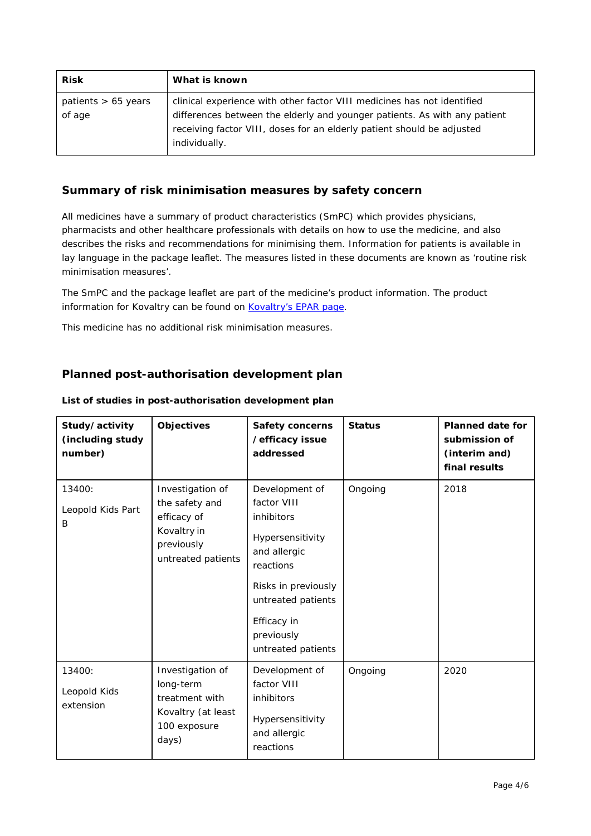| <b>Risk</b>                     | What is known                                                                                                                                                                                                                                   |
|---------------------------------|-------------------------------------------------------------------------------------------------------------------------------------------------------------------------------------------------------------------------------------------------|
| patients $> 65$ years<br>of age | clinical experience with other factor VIII medicines has not identified<br>differences between the elderly and younger patients. As with any patient<br>receiving factor VIII, doses for an elderly patient should be adjusted<br>individually. |

## **Summary of risk minimisation measures by safety concern**

All medicines have a summary of product characteristics (SmPC) which provides physicians, pharmacists and other healthcare professionals with details on how to use the medicine, and also describes the risks and recommendations for minimising them. Information for patients is available in lay language in the package leaflet. The measures listed in these documents are known as 'routine risk minimisation measures'.

The SmPC and the package leaflet are part of the medicine's product information. The product information for Kovaltry can be found on [Kovaltry's EPAR page.](http://www.ema.europa.eu/ema/index.jsp?curl=/pages/medicines/human/medicines/003825/human_med_001959.jsp)

This medicine has no additional risk minimisation measures.

# **Planned post-authorisation development plan**

| Study/activity<br>(including study<br>number) | Objectives                                                                                           | <b>Safety concerns</b><br>/efficacy issue<br>addressed                                                                                                                                       | <b>Status</b> | <b>Planned date for</b><br>submission of<br>(interim and)<br>final results |
|-----------------------------------------------|------------------------------------------------------------------------------------------------------|----------------------------------------------------------------------------------------------------------------------------------------------------------------------------------------------|---------------|----------------------------------------------------------------------------|
| 13400:<br>Leopold Kids Part<br>B              | Investigation of<br>the safety and<br>efficacy of<br>Kovaltry in<br>previously<br>untreated patients | Development of<br>factor VIII<br>inhibitors<br>Hypersensitivity<br>and allergic<br>reactions<br>Risks in previously<br>untreated patients<br>Efficacy in<br>previously<br>untreated patients | Ongoing       | 2018                                                                       |
| 13400:<br>Leopold Kids<br>extension           | Investigation of<br>long-term<br>treatment with<br>Kovaltry (at least<br>100 exposure<br>days)       | Development of<br>factor VIII<br>inhibitors<br>Hypersensitivity<br>and allergic<br>reactions                                                                                                 | Ongoing       | 2020                                                                       |

#### *List of studies in post-authorisation development plan*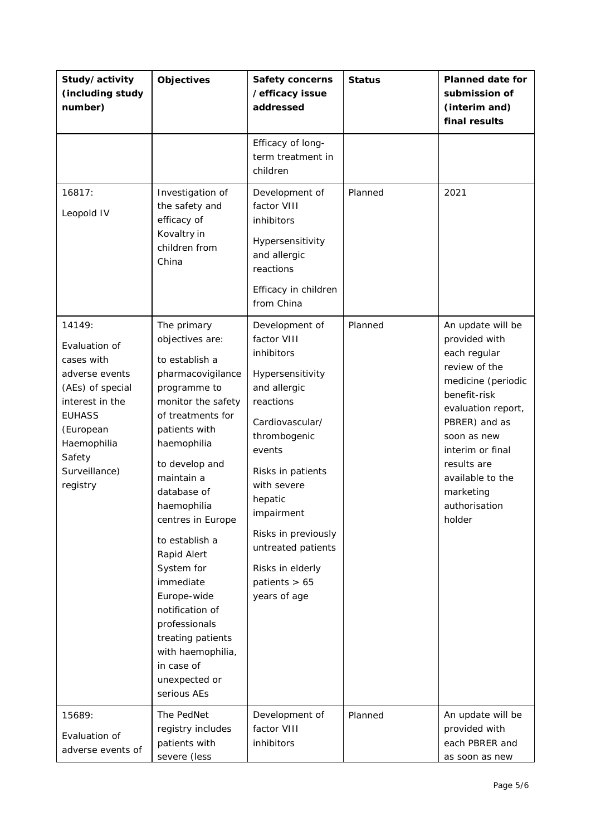| Study/activity<br>(including study<br>number)                                                                                                                                      | <b>Objectives</b>                                                                                                                                                                                                                                                                                                                                                                                                                                          | Safety concerns<br>/efficacy issue<br>addressed                                                                                                                                                                                                                                                            | <b>Status</b> | <b>Planned date for</b><br>submission of<br>(interim and)<br>final results                                                                                                                                                                                     |
|------------------------------------------------------------------------------------------------------------------------------------------------------------------------------------|------------------------------------------------------------------------------------------------------------------------------------------------------------------------------------------------------------------------------------------------------------------------------------------------------------------------------------------------------------------------------------------------------------------------------------------------------------|------------------------------------------------------------------------------------------------------------------------------------------------------------------------------------------------------------------------------------------------------------------------------------------------------------|---------------|----------------------------------------------------------------------------------------------------------------------------------------------------------------------------------------------------------------------------------------------------------------|
|                                                                                                                                                                                    |                                                                                                                                                                                                                                                                                                                                                                                                                                                            | Efficacy of long-<br>term treatment in<br>children                                                                                                                                                                                                                                                         |               |                                                                                                                                                                                                                                                                |
| 16817:<br>Leopold IV                                                                                                                                                               | Investigation of<br>the safety and<br>efficacy of<br>Kovaltry in<br>children from<br>China                                                                                                                                                                                                                                                                                                                                                                 | Development of<br>factor VIII<br>inhibitors<br>Hypersensitivity<br>and allergic<br>reactions<br>Efficacy in children<br>from China                                                                                                                                                                         | Planned       | 2021                                                                                                                                                                                                                                                           |
| 14149:<br>Evaluation of<br>cases with<br>adverse events<br>(AEs) of special<br>interest in the<br><b>EUHASS</b><br>(European<br>Haemophilia<br>Safety<br>Surveillance)<br>registry | The primary<br>objectives are:<br>to establish a<br>pharmacovigilance<br>programme to<br>monitor the safety<br>of treatments for<br>patients with<br>haemophilia<br>to develop and<br>maintain a<br>database of<br>haemophilia<br>centres in Europe<br>to establish a<br>Rapid Alert<br>System for<br>immediate<br>Europe-wide<br>notification of<br>professionals<br>treating patients<br>with haemophilia,<br>in case of<br>unexpected or<br>serious AEs | Development of<br>factor VIII<br>inhibitors<br>Hypersensitivity<br>and allergic<br>reactions<br>Cardiovascular/<br>thrombogenic<br>events<br>Risks in patients<br>with severe<br>hepatic<br>impairment<br>Risks in previously<br>untreated patients<br>Risks in elderly<br>patients $> 65$<br>years of age | Planned       | An update will be<br>provided with<br>each regular<br>review of the<br>medicine (periodic<br>benefit-risk<br>evaluation report,<br>PBRER) and as<br>soon as new<br>interim or final<br>results are<br>available to the<br>marketing<br>authorisation<br>holder |
| 15689:<br>Evaluation of<br>adverse events of                                                                                                                                       | The PedNet<br>registry includes<br>patients with<br>severe (less                                                                                                                                                                                                                                                                                                                                                                                           | Development of<br>factor VIII<br>inhibitors                                                                                                                                                                                                                                                                | Planned       | An update will be<br>provided with<br>each PBRER and<br>as soon as new                                                                                                                                                                                         |